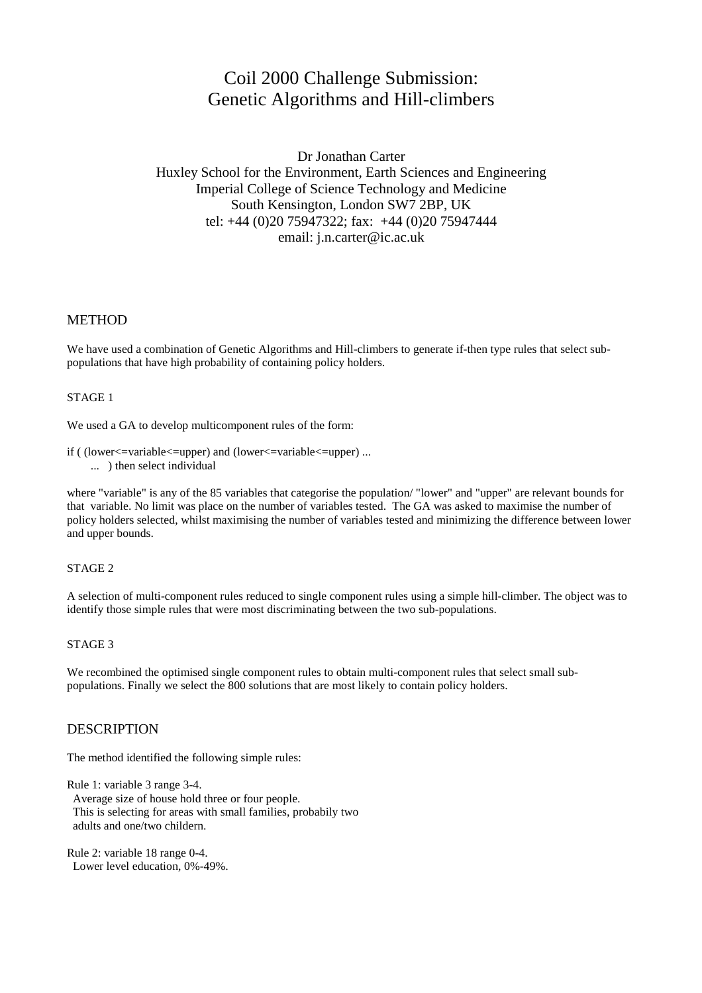# Coil 2000 Challenge Submission: Genetic Algorithms and Hill-climbers

Dr Jonathan Carter Huxley School for the Environment, Earth Sciences and Engineering Imperial College of Science Technology and Medicine South Kensington, London SW7 2BP, UK tel: +44 (0)20 75947322; fax: +44 (0)20 75947444 email: j.n.carter@ic.ac.uk

## METHOD

We have used a combination of Genetic Algorithms and Hill-climbers to generate if-then type rules that select subpopulations that have high probability of containing policy holders.

#### STAGE 1

We used a GA to develop multicomponent rules of the form:

if ( (lower<=variable<=upper) and (lower<=variable<=upper) ... ... ) then select individual

where "variable" is any of the 85 variables that categorise the population/ "lower" and "upper" are relevant bounds for that variable. No limit was place on the number of variables tested. The GA was asked to maximise the number of policy holders selected, whilst maximising the number of variables tested and minimizing the difference between lower and upper bounds.

#### STAGE 2

A selection of multi-component rules reduced to single component rules using a simple hill-climber. The object was to identify those simple rules that were most discriminating between the two sub-populations.

#### STAGE 3

We recombined the optimised single component rules to obtain multi-component rules that select small subpopulations. Finally we select the 800 solutions that are most likely to contain policy holders.

## DESCRIPTION

The method identified the following simple rules:

Rule 1: variable 3 range 3-4. Average size of house hold three or four people. This is selecting for areas with small families, probabily two adults and one/two childern.

Rule 2: variable 18 range 0-4. Lower level education, 0%-49%.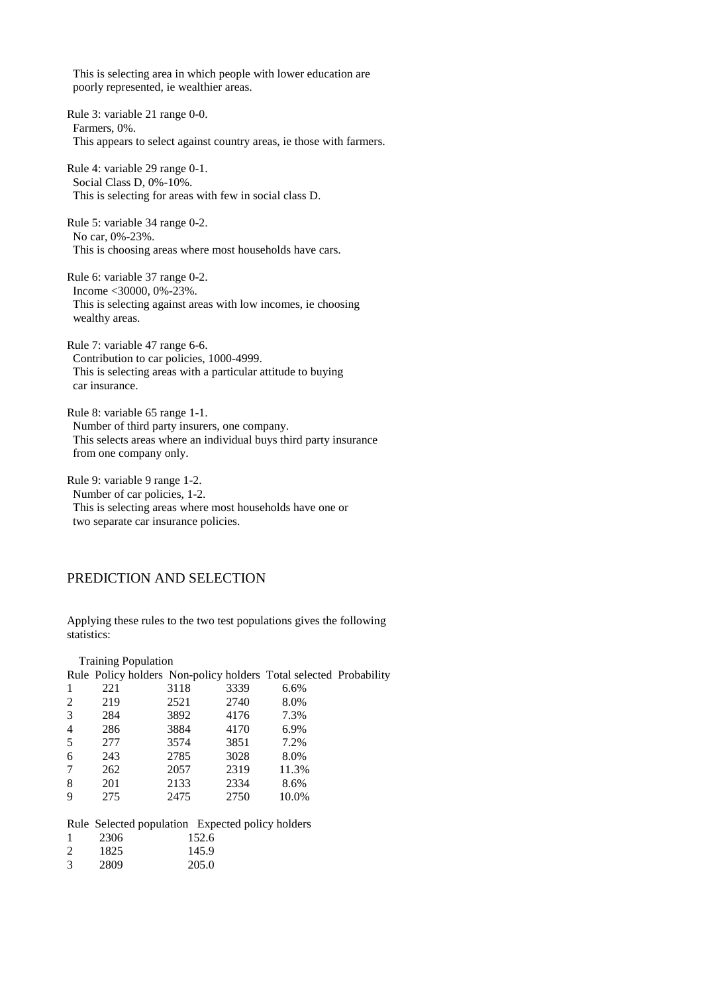This is selecting area in which people with lower education are poorly represented, ie wealthier areas.

Rule 3: variable 21 range 0-0. Farmers, 0%. This appears to select against country areas, ie those with farmers.

Rule 4: variable 29 range 0-1. Social Class D, 0%-10%. This is selecting for areas with few in social class D.

Rule 5: variable 34 range 0-2. No car, 0%-23%. This is choosing areas where most households have cars.

Rule 6: variable 37 range 0-2. Income <30000, 0%-23%. This is selecting against areas with low incomes, ie choosing wealthy areas.

Rule 7: variable 47 range 6-6. Contribution to car policies, 1000-4999. This is selecting areas with a particular attitude to buying car insurance.

Rule 8: variable 65 range 1-1. Number of third party insurers, one company. This selects areas where an individual buys third party insurance from one company only.

Rule 9: variable 9 range 1-2. Number of car policies, 1-2. This is selecting areas where most households have one or two separate car insurance policies.

# PREDICTION AND SELECTION

Applying these rules to the two test populations gives the following statistics:

| <b>Training Population</b> |                                                                   |       |      |       |  |
|----------------------------|-------------------------------------------------------------------|-------|------|-------|--|
|                            | Rule Policy holders Non-policy holders Total selected Probability |       |      |       |  |
| 1                          | 221                                                               | 3118  | 3339 | 6.6%  |  |
| 2                          | 219                                                               | 2521  | 2740 | 8.0%  |  |
| 3                          | 284                                                               | 3892  | 4176 | 7.3%  |  |
| $\overline{4}$             | 286                                                               | 3884  | 4170 | 6.9%  |  |
| 5                          | 277                                                               | 3574  | 3851 | 7.2%  |  |
| 6                          | 243                                                               | 2785  | 3028 | 8.0%  |  |
| 7                          | 262                                                               | 2057  | 2319 | 11.3% |  |
| 8                          | 201                                                               | 2133  | 2334 | 8.6%  |  |
| 9                          | 275                                                               | 2475  | 2750 | 10.0% |  |
|                            |                                                                   |       |      |       |  |
|                            | Rule Selected population Expected policy holders                  |       |      |       |  |
|                            | 2306                                                              | 152.6 |      |       |  |

| 2 | 1825 | 145.9 |
|---|------|-------|
|   |      |       |

| 3 | 2809 | 205.0 |
|---|------|-------|
|---|------|-------|